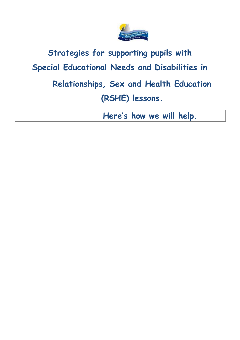

## **Strategies for supporting pupils with Special Educational Needs and Disabilities in Relationships, Sex and Health Education (RSHE) lessons.**

**Here's how we will help.**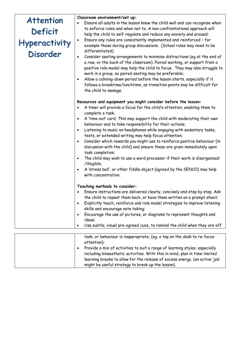|                      | Classroom environment/set up:                                                                                                                                                                                                                                                                                                                                                                                                                                                                      |
|----------------------|----------------------------------------------------------------------------------------------------------------------------------------------------------------------------------------------------------------------------------------------------------------------------------------------------------------------------------------------------------------------------------------------------------------------------------------------------------------------------------------------------|
| <b>Attention</b>     | Ensure all adults in the lesson know the child well and can recognise when                                                                                                                                                                                                                                                                                                                                                                                                                         |
|                      | to enforce rules and when not to. A non-confrontational approach will                                                                                                                                                                                                                                                                                                                                                                                                                              |
| Deficit              | help the child to self-regulate and reduce any anxiety and arousal;                                                                                                                                                                                                                                                                                                                                                                                                                                |
|                      | Ensure any rules are consistently implemented and reinforced - for<br>$\bullet$                                                                                                                                                                                                                                                                                                                                                                                                                    |
| <b>Hyperactivity</b> | example those during group discussions. (School rules may need to be                                                                                                                                                                                                                                                                                                                                                                                                                               |
| <b>Disorder</b>      | differentiated)                                                                                                                                                                                                                                                                                                                                                                                                                                                                                    |
|                      | Consider seating arrangements to minimise distractions (eq at the end of<br>$\bullet$<br>a row, or the back of the classroom). Paired working, or support from a<br>positive role model may help the child to focus. They may also struggle to<br>work in a group, so paired seating may be preferable;<br>Allow a calming-down period before the lesson starts, especially if it<br>$\bullet$<br>follows a breaktime/lunchtime, as transition points may be difficult for<br>the child to manage. |
|                      | Resources and equipment you might consider before the lesson:                                                                                                                                                                                                                                                                                                                                                                                                                                      |
|                      | A timer will provide a focus for the child's attention, enabling them to<br>$\bullet$<br>complete a task;                                                                                                                                                                                                                                                                                                                                                                                          |
|                      | A 'time-out' card. This may support the child with moderating their own<br>$\bullet$                                                                                                                                                                                                                                                                                                                                                                                                               |
|                      | behaviour and to take responsibility for their actions;                                                                                                                                                                                                                                                                                                                                                                                                                                            |
|                      | Listening to music on headphones while engaging with sedentary tasks,<br>$\bullet$                                                                                                                                                                                                                                                                                                                                                                                                                 |
|                      | tests, or extended writing may help focus attention;                                                                                                                                                                                                                                                                                                                                                                                                                                               |
|                      | Consider which rewards you might use to reinforce positive behaviour (in<br>$\bullet$<br>discussion with the child) and ensure these are given immediately upon<br>task completion;                                                                                                                                                                                                                                                                                                                |
|                      | The child may wish to use a word processor if their work is disorganised<br>$\bullet$<br>/illegible;                                                                                                                                                                                                                                                                                                                                                                                               |
|                      | A 'stress ball', or other fiddle object (agreed by the SENCO) may help<br>$\bullet$<br>with concentration.                                                                                                                                                                                                                                                                                                                                                                                         |
|                      | Teaching methods to consider:                                                                                                                                                                                                                                                                                                                                                                                                                                                                      |
|                      | Ensure instructions are delivered clearly, concisely and step by step. Ask<br>the child to repeat them back, or have them written on a prompt sheet;                                                                                                                                                                                                                                                                                                                                               |
|                      | Explicitly teach, reinforce and role model strategies to improve listening<br>$\bullet$<br>skills and encourage note taking;                                                                                                                                                                                                                                                                                                                                                                       |
|                      | Encourage the use of pictures, or diagrams to represent thoughts and                                                                                                                                                                                                                                                                                                                                                                                                                               |
|                      | ideas;                                                                                                                                                                                                                                                                                                                                                                                                                                                                                             |
|                      | Use subtle, visual pre-agreed cues, to remind the child when they are off                                                                                                                                                                                                                                                                                                                                                                                                                          |
|                      |                                                                                                                                                                                                                                                                                                                                                                                                                                                                                                    |
|                      | task, or behaviour is inappropriate, (eg. a tap on the desk to re-focus<br>attention);                                                                                                                                                                                                                                                                                                                                                                                                             |
|                      | Provide a mix of activities to suit a range of learning styles, especially<br>$\bullet$                                                                                                                                                                                                                                                                                                                                                                                                            |
|                      | including kinaesthetic activities. With this in mind, plan in time-limited                                                                                                                                                                                                                                                                                                                                                                                                                         |

learning breaks to allow for the release of excess energy. (an active 'job'

might be useful strategy to break up the lesson).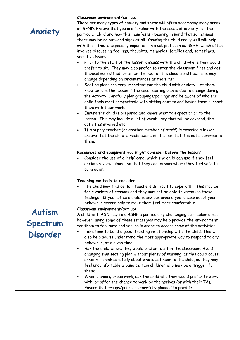| Anxiety         | Classroom environment/set up:<br>There are many types of anxiety and these will often accompany many areas<br>of SEND. Ensure that you are familiar with the cause of anxiety for the<br>particular child and how this manifests - bearing in mind that sometimes<br>there may be no outward signs at all. Knowing the child really well will help<br>with this. This is especially important in a subject such as RSHE, which often<br>involves discussing feelings, thoughts, memories, families and, sometimes,<br>sensitive issues.<br>Prior to the start of the lesson, discuss with the child where they would<br>prefer to sit. They may also prefer to enter the classroom first and get<br>themselves settled, or after the rest of the class is settled. This may<br>change depending on circumstances at the time;<br>Seating plans are very important for the child with anxiety. Let them<br>$\bullet$<br>know before the lesson if the usual seating plan is due to change during<br>the activity. Carefully plan groupings/pairings and be aware of who the<br>child feels most comfortable with sitting next to and having them support<br>them with their work;<br>Ensure the child is prepared and knows what to expect prior to the<br>$\bullet$<br>lesson. This may include a list of vocabulary that will be covered, the<br>activities involved etc;<br>If a supply teacher (or another member of staff) is covering a lesson,<br>٠<br>ensure that the child is made aware of this, so that it is not a surprise to<br>them.<br>Resources and equipment you might consider before the lesson:<br>Consider the use of a 'help' card, which the child can use if they feel<br>anxious/overwhelmed, so that they can go somewhere they feel safe to<br>calm down. |
|-----------------|--------------------------------------------------------------------------------------------------------------------------------------------------------------------------------------------------------------------------------------------------------------------------------------------------------------------------------------------------------------------------------------------------------------------------------------------------------------------------------------------------------------------------------------------------------------------------------------------------------------------------------------------------------------------------------------------------------------------------------------------------------------------------------------------------------------------------------------------------------------------------------------------------------------------------------------------------------------------------------------------------------------------------------------------------------------------------------------------------------------------------------------------------------------------------------------------------------------------------------------------------------------------------------------------------------------------------------------------------------------------------------------------------------------------------------------------------------------------------------------------------------------------------------------------------------------------------------------------------------------------------------------------------------------------------------------------------------------------------------------------------------------------------------------|
|                 | Teaching methods to consider:                                                                                                                                                                                                                                                                                                                                                                                                                                                                                                                                                                                                                                                                                                                                                                                                                                                                                                                                                                                                                                                                                                                                                                                                                                                                                                                                                                                                                                                                                                                                                                                                                                                                                                                                                        |
|                 | The child may find certain teachers difficult to cope with. This may be<br>for a variety of reasons and they may not be able to verbalise these<br>feelings. If you notice a child is anxious around you, please adapt your<br>behaviour accordingly to make them feel more comfortable.                                                                                                                                                                                                                                                                                                                                                                                                                                                                                                                                                                                                                                                                                                                                                                                                                                                                                                                                                                                                                                                                                                                                                                                                                                                                                                                                                                                                                                                                                             |
|                 | Classroom environment/set up:                                                                                                                                                                                                                                                                                                                                                                                                                                                                                                                                                                                                                                                                                                                                                                                                                                                                                                                                                                                                                                                                                                                                                                                                                                                                                                                                                                                                                                                                                                                                                                                                                                                                                                                                                        |
| <b>Autism</b>   | A child with ASD may find RSHE a particularly challenging curriculum area,                                                                                                                                                                                                                                                                                                                                                                                                                                                                                                                                                                                                                                                                                                                                                                                                                                                                                                                                                                                                                                                                                                                                                                                                                                                                                                                                                                                                                                                                                                                                                                                                                                                                                                           |
| Spectrum        | however, using some of these strategies may help provide the environment                                                                                                                                                                                                                                                                                                                                                                                                                                                                                                                                                                                                                                                                                                                                                                                                                                                                                                                                                                                                                                                                                                                                                                                                                                                                                                                                                                                                                                                                                                                                                                                                                                                                                                             |
|                 | for them to feel safe and secure in order to access some of the activities:<br>Take time to build a good, trusting relationship with the child. This will                                                                                                                                                                                                                                                                                                                                                                                                                                                                                                                                                                                                                                                                                                                                                                                                                                                                                                                                                                                                                                                                                                                                                                                                                                                                                                                                                                                                                                                                                                                                                                                                                            |
| <b>Disorder</b> | also help adults understand the most appropriate way to respond to any<br>behaviour, at a given time;                                                                                                                                                                                                                                                                                                                                                                                                                                                                                                                                                                                                                                                                                                                                                                                                                                                                                                                                                                                                                                                                                                                                                                                                                                                                                                                                                                                                                                                                                                                                                                                                                                                                                |
|                 | Ask the child where they would prefer to sit in the classroom. Avoid<br>$\bullet$<br>changing this seating plan without plenty of warning, as this could cause<br>anxiety. Think carefully about who is sat near to the child, as they may<br>feel uncomfortable around certain children who may be a 'trigger' for<br>them;<br>When planning group work, ask the child who they would prefer to work<br>٠<br>with, or offer the chance to work by themselves (or with their TA).<br>Ensure that groups/pairs are carefully planned to provide                                                                                                                                                                                                                                                                                                                                                                                                                                                                                                                                                                                                                                                                                                                                                                                                                                                                                                                                                                                                                                                                                                                                                                                                                                       |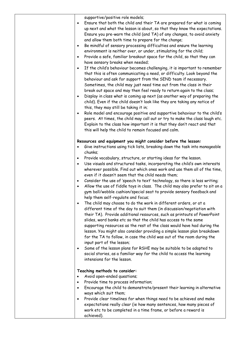| supportive/positive role models; |
|----------------------------------|
|----------------------------------|

| $\bullet$ | Ensure that both the child and their TA are prepared for what is coming   |
|-----------|---------------------------------------------------------------------------|
|           | up next and what the lesson is about, so that they know the expectations. |
|           | Ensure you pre-warn the child (and TA) of any changes, to avoid anxiety   |
|           | and allow them both time to prepare for the change;                       |

- Be mindful of sensory processing difficulties and ensure the learning environment is neither over, or under, stimulating for the child;
- Provide a safe, familiar breakout space for the child, so that they can have sensory breaks when needed;
- If the child's behaviour becomes challenging, it is important to remember that this is often communicating a need, or difficulty. Look beyond the behaviour and ask for support from the SEND team if necessary. Sometimes, the child may just need time out from the class in their break out space and may then feel ready to return again to the class;
- Display in class what is coming up next (as another way of preparing the child). Even if the child doesn't look like they are taking any notice of this, they may still be taking it in;
- Role model and encourage positive and supportive behaviour to the child's peers. At times, the child may call out or try to make the class laugh etc. Explain to the class how important it is that they don't react and that this will help the child to remain focused and calm.

## **Resources and equipment you might consider before the lesson:**

- Give instructions using tick lists, breaking down the task into manageable chunks;
- Provide vocabulary, structure, or starting ideas for the lesson.
- Use visuals and structured tasks, incorporating the child's own interests wherever possible. Find out which ones work and use them all of the time, even if it doesn't seem that the child needs them;
- Consider the use of 'speech to text' technology, so there is less writing;
- Allow the use of fiddle toys in class. The child may also prefer to sit on a gym ball/wobble cushion/special seat to provide sensory feedback and help them self-regulate and focus;
- The child may choose to do the work in different orders, or at a different time of the day to suit them (in discussion/negotiation with their TA). Provide additional resources, such as printouts of PowerPoint slides, word banks etc so that the child has access to the same supporting resources as the rest of the class would have had during the lesson. You might also consider providing a simple lesson plan breakdown for the TA to follow, in case the child was out of the room during the input part of the lesson;
- Some of the lesson plans for RSHE may be suitable to be adapted to social stories, as a familiar way for the child to access the learning intensions for the lesson.

## **Teaching methods to consider:**

- Avoid open-ended questions;
- Provide time to process information;
- Encourage the child to demonstrate/present their learning in alternative ways which suit them;
- Provide clear timelines for when things need to be achieved and make expectations really clear (ie how many sentences, how many pieces of work etc to be completed in a time frame, or before a reward is achieved).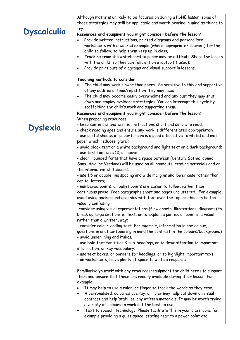| <b>Dyscalculia</b> | Although maths is unlikely to be focused on during a PSHE lesson, some of<br>these strategies may still be applicable and worth bearing in mind as things to<br>try.<br>Resources and equipment you might consider before the lesson:<br>Provide written instructions, printed diagrams and personalised<br>$\bullet$<br>worksheets with a worked example (where appropriate/relevant) for the<br>child to follow, to help them keep up in class;<br>Tracking from the whiteboard to paper may be difficult. Share the lesson<br>$\bullet$<br>with the child, so they can follow it on a laptop (if used);<br>Provide print outs of diagrams and visual support in lessons.<br>$\bullet$<br>Teaching methods to consider:<br>The child may work slower than peers. Be sensitive to this and supportive<br>of any additional time/repetition they may need;<br>The child may become easily overwhelmed and anxious; they may shut<br>$\bullet$<br>down and employ avoidance strategies. You can interrupt this cycle by<br>scaffolding the child's work and supporting them. |
|--------------------|-----------------------------------------------------------------------------------------------------------------------------------------------------------------------------------------------------------------------------------------------------------------------------------------------------------------------------------------------------------------------------------------------------------------------------------------------------------------------------------------------------------------------------------------------------------------------------------------------------------------------------------------------------------------------------------------------------------------------------------------------------------------------------------------------------------------------------------------------------------------------------------------------------------------------------------------------------------------------------------------------------------------------------------------------------------------------------|
|                    | Resources and equipment you might consider before the lesson:                                                                                                                                                                                                                                                                                                                                                                                                                                                                                                                                                                                                                                                                                                                                                                                                                                                                                                                                                                                                               |
| <b>Dyslexia</b>    | When preparing resources:<br>- keep sentences and written instructions short and simple to read;<br>- check reading ages and ensure any work is differentiated appropriately;<br>- use pastel shades of paper (cream is a good alternative to white) and matt<br>paper which reduces 'glare';                                                                                                                                                                                                                                                                                                                                                                                                                                                                                                                                                                                                                                                                                                                                                                               |
|                    | - avoid black text on a white background and light text on a dark background;                                                                                                                                                                                                                                                                                                                                                                                                                                                                                                                                                                                                                                                                                                                                                                                                                                                                                                                                                                                               |
|                    | - use text font size 12, or above;                                                                                                                                                                                                                                                                                                                                                                                                                                                                                                                                                                                                                                                                                                                                                                                                                                                                                                                                                                                                                                          |
|                    | - clear, rounded fonts that have a space between (Century Gothic, Comic<br>Sans, Arial or Verdana) will be used on all handouts, reading materials and on<br>the interactive whiteboard:                                                                                                                                                                                                                                                                                                                                                                                                                                                                                                                                                                                                                                                                                                                                                                                                                                                                                    |
|                    | - use 1.5 or double line spacing and wide margins and lower case rather than<br>capital letters;                                                                                                                                                                                                                                                                                                                                                                                                                                                                                                                                                                                                                                                                                                                                                                                                                                                                                                                                                                            |
|                    | - numbered points, or bullet points are easier to follow, rather than<br>continuous prose. Keep paragraphs short and pages uncluttered. For example,<br>avoid using background graphics with text over the top, as this can be too<br>visually confusing.                                                                                                                                                                                                                                                                                                                                                                                                                                                                                                                                                                                                                                                                                                                                                                                                                   |
|                    | -consider using visual representations (flow charts, illustrations, diagrams) to<br>break up large sections of text, or to explain a particular point in a visual,<br>rather than a written, way;                                                                                                                                                                                                                                                                                                                                                                                                                                                                                                                                                                                                                                                                                                                                                                                                                                                                           |
|                    | - consider colour-coding text. For example, information in one colour,<br>questions in another (bearing in mind the contrast in the colours/background)<br>- avoid underlining and italics;                                                                                                                                                                                                                                                                                                                                                                                                                                                                                                                                                                                                                                                                                                                                                                                                                                                                                 |
|                    | - use bold text for titles & sub-headings, or to draw attention to important<br>information, or key vocabulary;                                                                                                                                                                                                                                                                                                                                                                                                                                                                                                                                                                                                                                                                                                                                                                                                                                                                                                                                                             |
|                    | - use text boxes, or borders for headings, or to highlight important text.<br>- on worksheets, leave plenty of space to write a response.                                                                                                                                                                                                                                                                                                                                                                                                                                                                                                                                                                                                                                                                                                                                                                                                                                                                                                                                   |
|                    | Familiarise yourself with any resources/equipment the child needs to support<br>them and ensure that these are readily available during their lesson. For<br>example:                                                                                                                                                                                                                                                                                                                                                                                                                                                                                                                                                                                                                                                                                                                                                                                                                                                                                                       |
|                    | It may help to use a ruler, or finger to track the words as they read;<br>$\bullet$<br>A personalised, coloured overlay, or ruler may help cut down on visual<br>$\bullet$<br>contrast and help 'stabilise' any written materials. It may be worth trying<br>a variety of colours to work out the best to use;<br>'Text to speech' technology. Please facilitate this in your classroom, for<br>$\bullet$                                                                                                                                                                                                                                                                                                                                                                                                                                                                                                                                                                                                                                                                   |
|                    | example providing a quiet space, seating near to a power point etc.                                                                                                                                                                                                                                                                                                                                                                                                                                                                                                                                                                                                                                                                                                                                                                                                                                                                                                                                                                                                         |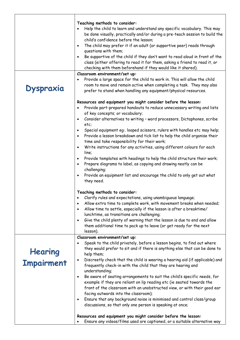|                   | Teaching methods to consider:                                                                                                                   |
|-------------------|-------------------------------------------------------------------------------------------------------------------------------------------------|
|                   | Help the child to learn and understand any specific vocabulary. This may                                                                        |
|                   | be done visually, practically and/or during a pre-teach session to build the                                                                    |
|                   | child's confidence before the lesson:                                                                                                           |
|                   | The child may prefer it if an adult (or supportive peer) reads through<br>$\bullet$                                                             |
|                   | questions with them;                                                                                                                            |
|                   | Be supportive of the child if they don't want to read aloud in front of the<br>$\bullet$                                                        |
|                   | class (either offering to read it for them, asking a friend to read it, or                                                                      |
|                   | checking with them beforehand if they would like it shared).                                                                                    |
|                   | Classroom environment/set up:                                                                                                                   |
|                   | Provide a large space for the child to work in. This will allow the child<br>$\bullet$                                                          |
|                   | room to move and remain active when completing a task. They may also                                                                            |
| <b>Dyspraxia</b>  | prefer to stand when handling any equipment/physical resources.                                                                                 |
|                   | Resources and equipment you might consider before the lesson:                                                                                   |
|                   | Provide part-prepared handouts to reduce unnecessary writing and lists                                                                          |
|                   | of key concepts; or vocabulary;                                                                                                                 |
|                   | Consider alternatives to writing - word processors, Dictaphones, scribe<br>٠                                                                    |
|                   | etc:                                                                                                                                            |
|                   | Special equipment eg: looped scissors, rulers with handles etc may help;<br>$\bullet$                                                           |
|                   | Provide a lesson breakdown and tick list to help the child organise their<br>$\bullet$                                                          |
|                   | time and take responsibility for their work;                                                                                                    |
|                   | Write instructions for any activities, using different colours for each<br>$\bullet$<br>line:                                                   |
|                   | Provide templates with headings to help the child structure their work;<br>$\bullet$                                                            |
|                   | Prepare diagrams to label, as copying and drawing neatly can be<br>$\bullet$                                                                    |
|                   | challenging;                                                                                                                                    |
|                   | Provide an equipment list and encourage the child to only get out what                                                                          |
|                   | they need.                                                                                                                                      |
|                   | Teaching methods to consider:                                                                                                                   |
|                   | Clarify rules and expectations, using unambiguous language;<br>$\bullet$                                                                        |
|                   | Allow extra time to complete work, with movement breaks when needed;<br>٠                                                                       |
|                   | Allow time to settle, especially if the lesson is after a breaktime/<br>٠                                                                       |
|                   | lunchtime, as transitions are challenging;                                                                                                      |
|                   | Give the child plenty of warning that the lesson is due to end and allow<br>$\bullet$                                                           |
|                   | them additional time to pack up to leave (or get ready for the next                                                                             |
|                   | lesson).                                                                                                                                        |
|                   | Classroom environment/set up:                                                                                                                   |
|                   | Speak to the child privately, before a lesson begins, to find out where                                                                         |
|                   | they would prefer to sit and if there is anything else that can be done to                                                                      |
| Hearing           | help them;                                                                                                                                      |
| <b>Impairment</b> | Discreetly check that the child is wearing a hearing aid (if applicable) and<br>٠                                                               |
|                   | frequently check-in with the child that they are hearing and                                                                                    |
|                   | understanding;                                                                                                                                  |
|                   | Be aware of seating arrangements to suit the child's specific needs, for<br>$\bullet$                                                           |
|                   | example if they are reliant on lip reading etc (ie seated towards the                                                                           |
|                   | front of the classroom with an unobstructed view, or with their good ear                                                                        |
|                   | facing outwards into the classroom);                                                                                                            |
|                   | Ensure that any background noise is minimised and control class/group<br>$\bullet$<br>discussions, so that only one person is speaking at once; |
|                   |                                                                                                                                                 |
|                   | Resources and equipment you might consider before the lesson:                                                                                   |
|                   | Ensure any videos/films used are captioned, or a suitable alternative way                                                                       |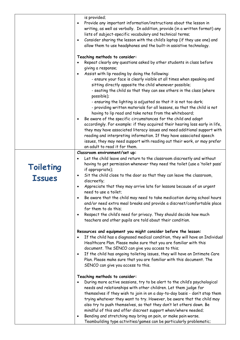|                     | is provided;<br>Provide any important information/instructions about the lesson in<br>$\bullet$<br>writing, as well as verbally. In addition, provide (in a written format) any<br>lists of subject-specific vocabulary and technical terms;<br>Consider sharing the lesson with the child's laptop (if they use one) and<br>$\bullet$<br>allow them to use headphones and the built-in assistive technology.                                                                                                                                                                                                                                                                                                                                                                                                                                                                                                                                                                                                                                               |
|---------------------|-------------------------------------------------------------------------------------------------------------------------------------------------------------------------------------------------------------------------------------------------------------------------------------------------------------------------------------------------------------------------------------------------------------------------------------------------------------------------------------------------------------------------------------------------------------------------------------------------------------------------------------------------------------------------------------------------------------------------------------------------------------------------------------------------------------------------------------------------------------------------------------------------------------------------------------------------------------------------------------------------------------------------------------------------------------|
|                     | Teaching methods to consider:<br>Repeat clearly any questions asked by other students in class before<br>giving a response;<br>Assist with lip reading by doing the following:<br>$\bullet$<br>- ensure your face is clearly visible at all times when speaking and<br>sitting directly opposite the child whenever possible;<br>- seating the child so that they can see others in the class (where<br>possible);<br>- ensuring the lighting is adjusted so that it is not too dark;<br>- providing written materials for all lessons, so that the child is not<br>having to lip read and take notes from the whiteboard;<br>Be aware of the specific circumstances for the child and adapt<br>$\bullet$<br>accordingly. For example: if they acquired their hearing loss early in life,<br>they may have associated literacy issues and need additional support with<br>reading and interpreting information. If they have associated speech<br>issues, they may need support with reading out their work, or may prefer<br>an adult to read it for them. |
|                     | Classroom environment/set up:                                                                                                                                                                                                                                                                                                                                                                                                                                                                                                                                                                                                                                                                                                                                                                                                                                                                                                                                                                                                                               |
|                     | Let the child leave and return to the classroom discreetly and without<br>$\bullet$<br>having to get permission whenever they need the toilet (use a 'toilet pass'<br>if appropriate);                                                                                                                                                                                                                                                                                                                                                                                                                                                                                                                                                                                                                                                                                                                                                                                                                                                                      |
| Toileting<br>Issues | Sit the child close to the door so that they can leave the classroom,<br>$\bullet$                                                                                                                                                                                                                                                                                                                                                                                                                                                                                                                                                                                                                                                                                                                                                                                                                                                                                                                                                                          |
|                     | discreetly;<br>Appreciate that they may arrive late for lessons because of an urgent<br>$\bullet$<br>need to use a toilet;<br>Be aware that the child may need to take medication during school hours<br>and/or need extra meal breaks and provide a discreet/comfortable place<br>for them to do this;<br>Respect the child's need for privacy. They should decide how much<br>$\bullet$<br>teachers and other pupils are told about their condition.                                                                                                                                                                                                                                                                                                                                                                                                                                                                                                                                                                                                      |
|                     | Resources and equipment you might consider before the lesson:<br>If the child has a diagnosed medical condition, they will have an Individual<br>Healthcare Plan. Please make sure that you are familiar with this<br>document. The SENCO can give you access to this;<br>If the child has ongoing toileting issues, they will have an Intimate Care<br>$\bullet$<br>Plan. Please make sure that you are familiar with this document. The<br>SENCO can give you access to this.                                                                                                                                                                                                                                                                                                                                                                                                                                                                                                                                                                             |
|                     | Teaching methods to consider:<br>During more active sessions, try to be alert to the child's psychological<br>٠<br>needs and relationships with other children. Let them judge for<br>themselves if they wish to join in on a day-to-day basis - don't stop them<br>trying whatever they want to try. However, be aware that the child may<br>also try to push themselves, so that they don't let others down. Be<br>mindful of this and offer discreet support when/where needed;<br>Bending and stretching may bring on pain, or make pain worse.<br>$\bullet$<br>Teambuilding type activities/games can be particularly problematic;                                                                                                                                                                                                                                                                                                                                                                                                                     |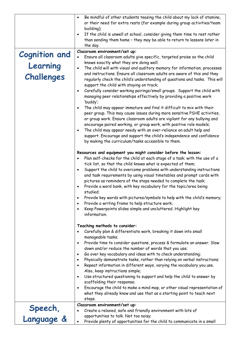|                       | Be mindful of other students teasing the child about my lack of stamina,<br>$\bullet$                                                                   |
|-----------------------|---------------------------------------------------------------------------------------------------------------------------------------------------------|
|                       | or their need for extra rests (for example during group activities/team                                                                                 |
|                       | building);                                                                                                                                              |
|                       | If the child is unwell at school, consider giving them time to rest rather<br>$\bullet$                                                                 |
|                       | than sending them home - they may be able to return to lessons later in                                                                                 |
|                       | the day.                                                                                                                                                |
| <b>Cognition and</b>  | Classroom environment/set up:                                                                                                                           |
|                       | Ensure all classroom adults give specific, targeted praise so the child<br>knows exactly what they are doing well;                                      |
| Learning              | The child will with visual and auditory memory for information, processes<br>$\bullet$                                                                  |
| Challenges            | and instructions. Ensure all classroom adults are aware of this and they<br>regularly check the child's understanding of questions and tasks. This will |
|                       | support the child with staying on track;                                                                                                                |
|                       | Carefully consider working pairings/small groups. Support the child with<br>$\bullet$                                                                   |
|                       | managing peer relationships effectively by providing a positive work<br>'buddy';                                                                        |
|                       | The child may appear immature and find it difficult to mix with their<br>$\bullet$                                                                      |
|                       | peer group. This may cause issues during more sensitive PSHE activities,                                                                                |
|                       | or group work. Ensure classroom adults are vigilant for any bullying and                                                                                |
|                       | encourage paired working, or group work, with positive role models;                                                                                     |
|                       | The child may appear needy with an over-reliance on adult help and<br>$\bullet$                                                                         |
|                       | support. Encourage and support the child's independence and confidence                                                                                  |
|                       | by making the curriculum/tasks accessible to them.                                                                                                      |
|                       | Resources and equipment you might consider before the lesson:                                                                                           |
|                       | Plan self-checks for the child at each stage of a task; with the use of a<br>$\bullet$                                                                  |
|                       | tick list, so that the child knows what is expected of them;                                                                                            |
|                       | Support the child to overcome problems with understanding instructions<br>$\bullet$                                                                     |
|                       | and task requirements by using visual timetables and prompt cards with                                                                                  |
|                       | pictures as reminders of the steps needed to complete the task;                                                                                         |
|                       | Provide a word bank, with key vocabulary for the topic/area being<br>$\bullet$                                                                          |
|                       | studied;                                                                                                                                                |
|                       | Provide key words with pictures/symbols to help with the child's memory;<br>$\bullet$                                                                   |
|                       | Provide a writing frame to help structure work;<br>$\bullet$                                                                                            |
|                       | Keep Powerpoints slides simple and uncluttered. Highlight key<br>$\bullet$                                                                              |
|                       | information.                                                                                                                                            |
|                       |                                                                                                                                                         |
|                       | Teaching methods to consider:                                                                                                                           |
|                       | Carefully plan & differentiate work, breaking it down into small                                                                                        |
|                       | manageable tasks;                                                                                                                                       |
|                       | Provide time to consider questions, process & formulate an answer. Slow<br>$\bullet$<br>down and/or reduce the number of words that you use;            |
|                       | Go over key vocabulary and ideas with to check understanding;<br>$\bullet$                                                                              |
|                       | Physically demonstrate tasks, rather than relying on verbal instructions;<br>$\bullet$                                                                  |
|                       | Repeat information in different ways, varying the vocabulary you use.<br>$\bullet$                                                                      |
|                       | Also, keep instructions simple;                                                                                                                         |
|                       | Use structured questioning to support and help the child to answer by<br>$\bullet$<br>scaffolding their response;                                       |
|                       | Encourage the child to make a mind map, or other visual representation of<br>$\bullet$                                                                  |
|                       | what they already know and use that as a starting point to teach next<br>steps.                                                                         |
|                       | Classroom environment/set up:                                                                                                                           |
| Speech,<br>Language & | Create a relaxed, safe and friendly environment with lots of<br>$\bullet$                                                                               |
|                       | opportunities to talk. Not too noisy;                                                                                                                   |
|                       | Provide plenty of opportunities for the child to communicate in a small                                                                                 |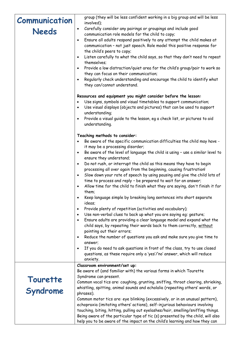| <b>Communication</b> | group (they will be less confident working in a big group and will be less<br>involved);                                                                 |
|----------------------|----------------------------------------------------------------------------------------------------------------------------------------------------------|
|                      | Carefully consider any pairings or groupings and include good<br>$\bullet$                                                                               |
| <b>Needs</b>         | communication role models for the child to copy;                                                                                                         |
|                      | Ensure all adults respond positively to any attempt the child makes at<br>$\bullet$                                                                      |
|                      | communication - not just speech. Role model this positive response for                                                                                   |
|                      | the child's peers to copy;                                                                                                                               |
|                      | Listen carefully to what the child says, so that they don't need to repeat<br>$\bullet$<br>themselves;                                                   |
|                      | Provide a low distraction/quiet area for the child's group/pair to work so<br>$\bullet$<br>they can focus on their communication;                        |
|                      | Regularly check understanding and encourage the child to identify what<br>$\bullet$                                                                      |
|                      | they can/cannot understand.                                                                                                                              |
|                      | Resources and equipment you might consider before the lesson:                                                                                            |
|                      | Use signs, symbols and visual timetables to support communication;<br>$\bullet$                                                                          |
|                      | Use visual displays (objects and pictures) that can be used to support<br>$\bullet$<br>understanding;                                                    |
|                      | Provide a visual guide to the lesson, eg a check list, or pictures to aid<br>$\bullet$                                                                   |
|                      | understanding.                                                                                                                                           |
|                      | Teaching methods to consider:                                                                                                                            |
|                      | Be aware of the specific communication difficulties the child may have -<br>$\bullet$                                                                    |
|                      | it may be a processing disorder;                                                                                                                         |
|                      | Be aware of the level of language the child is using - use a similar level to<br>$\bullet$<br>ensure they understand;                                    |
|                      | Do not rush, or interrupt the child as this means they have to begin<br>$\bullet$                                                                        |
|                      | processing all over again from the beginning, causing frustration!                                                                                       |
|                      | Slow down your rate of speech by using pausing and give the child lots of<br>$\bullet$<br>time to process and reply - be prepared to wait for an answer; |
|                      | Allow time for the child to finish what they are saying, don't finish it for<br>$\bullet$                                                                |
|                      | them;                                                                                                                                                    |
|                      | Keep language simple by breaking long sentences into short separate<br>ideas;                                                                            |
|                      | Provide plenty of repetition (activities and vocabulary);<br>$\bullet$                                                                                   |
|                      | Use non-verbal clues to back up what you are saying eq: gesture;<br>$\bullet$                                                                            |
|                      | Ensure adults are providing a clear language model and expand what the<br>$\bullet$                                                                      |
|                      | child says, by repeating their words back to them correctly, without                                                                                     |
|                      | pointing out their errors;<br>Reduce the number of questions you ask and make sure you give time to<br>$\bullet$                                         |
|                      | answer;                                                                                                                                                  |
|                      | If you do need to ask questions in front of the class, try to use closed<br>$\bullet$                                                                    |
|                      | questions, as these require only a 'yes'/'no' answer, which will reduce<br>anxiety.                                                                      |
|                      | Classroom environment/set up:                                                                                                                            |
|                      | Be aware of (and familiar with) the various forms in which Tourette                                                                                      |
|                      | Syndrome can present.                                                                                                                                    |
|                      | Common vocal tics are: coughing, grunting, sniffing, throat clearing, shrieking,                                                                         |
| Tourette<br>Syndrome | whistling, spitting, animal sounds and echolalia (repeating others' words, or                                                                            |
|                      | phrases).<br>Common motor tics are: eye blinking (excessively, or in an unusual pattern),                                                                |
|                      | echopraxia (imitating others' actions), self-injurious behaviours involving                                                                              |
|                      | touching, biting, hitting, pulling out eyelashes/hair, smelling/sniffing things.                                                                         |
|                      | Being aware of the particular type of tic (s) presented by the child, will also                                                                          |
|                      | help you to be aware of the impact on the child's learning and how they can                                                                              |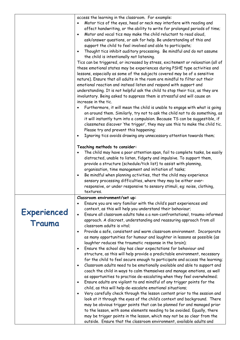|                    | access the learning in the classroom. For example:<br>Motor tics of the eyes, head or neck may interfere with reading and<br>affect handwriting, or the ability to write for prolonged periods of time;<br>Motor and vocal tics may make the child reluctant to read aloud,<br>$\bullet$                                                                                                                                                                                                                                                                                             |
|--------------------|--------------------------------------------------------------------------------------------------------------------------------------------------------------------------------------------------------------------------------------------------------------------------------------------------------------------------------------------------------------------------------------------------------------------------------------------------------------------------------------------------------------------------------------------------------------------------------------|
|                    | ask/answer questions, or ask for help. Be understanding of this and<br>support the child to feel involved and able to participate;<br>Thought tics inhibit auditory processing. Be mindful and do not assume<br>$\bullet$                                                                                                                                                                                                                                                                                                                                                            |
|                    | the child is intentionally not listening.                                                                                                                                                                                                                                                                                                                                                                                                                                                                                                                                            |
|                    | Tics can be triggered, or increased by stress, excitement or relaxation (all of<br>these emotional states may be experiences during PSHE type activities and<br>lessons, especially as some of the subjects covered may be of a sensitive<br>nature). Ensure that all adults in the room are mindful to filter out their<br>emotional reaction and instead listen and respond with support and<br>understanding. It is not helpful ask the child to stop their tics, as they are<br>involuntary. Being asked to suppress them is stressful and will cause an<br>increase in the tic. |
|                    | Furthermore, it will mean the child is unable to engage with what is going<br>on around them. Similarly, try not to ask the child not to do something, as<br>it will instantly turn into a compulsion. Because TS can be suggestible, if<br>classmates discover 'the trigger', they may use this to make the child tic.<br>Please try and prevent this happening;<br>Ignoring tics avoids drawing any unnecessary attention towards them;<br>$\bullet$                                                                                                                               |
|                    |                                                                                                                                                                                                                                                                                                                                                                                                                                                                                                                                                                                      |
|                    | Teaching methods to consider:<br>The child may have a poor attention span, fail to complete tasks, be easily<br>٠                                                                                                                                                                                                                                                                                                                                                                                                                                                                    |
|                    | distracted, unable to listen, fidgety and impulsive. To support them,<br>provide a structure (schedule/tick list) to assist with planning,                                                                                                                                                                                                                                                                                                                                                                                                                                           |
|                    | organisation, time management and initiation of tasks;<br>Be mindful when planning activities, that the child may experience<br>$\bullet$                                                                                                                                                                                                                                                                                                                                                                                                                                            |
|                    | sensory processing difficulties, where they may be either over-<br>responsive, or under responsive to sensory stimuli, eg: noise, clothing,<br>textures.                                                                                                                                                                                                                                                                                                                                                                                                                             |
|                    | Classroom environment/set up:                                                                                                                                                                                                                                                                                                                                                                                                                                                                                                                                                        |
| <b>Experienced</b> | Ensure you are very familiar with the child's past experiences and<br>context, as this will help you understand their behaviour;                                                                                                                                                                                                                                                                                                                                                                                                                                                     |
| Trauma             | Ensure all classroom adults take a a non-confrontational, trauma-informed<br>$\bullet$<br>approach. A discreet, understanding and reassuring approach from all                                                                                                                                                                                                                                                                                                                                                                                                                       |
|                    | classroom adults is vital;                                                                                                                                                                                                                                                                                                                                                                                                                                                                                                                                                           |
|                    | Provide a safe, consistent and warm classroom environment. Incorporate<br>$\bullet$<br>as many opportunities for humour and laughter in lessons as possible (as                                                                                                                                                                                                                                                                                                                                                                                                                      |
|                    | laughter reduces the traumatic response in the brain);<br>Ensure the school day has clear expectations for behaviour and<br>$\bullet$                                                                                                                                                                                                                                                                                                                                                                                                                                                |
|                    | structure, as this will help provide a predictable environment, necessary<br>for the child to feel secure enough to participate and access the learning;                                                                                                                                                                                                                                                                                                                                                                                                                             |
|                    | Classroom adults need to be emotionally available and able to support and<br>$\bullet$                                                                                                                                                                                                                                                                                                                                                                                                                                                                                               |
|                    | coach the child in ways to calm themselves and manage emotions, as well                                                                                                                                                                                                                                                                                                                                                                                                                                                                                                              |
|                    | as opportunities to practise de-escalating when they feel overwhelmed;<br>Ensure adults are vigilant to and mindful of any trigger points for the<br>$\bullet$                                                                                                                                                                                                                                                                                                                                                                                                                       |
|                    | child, as this will help de-escalate emotional situations;                                                                                                                                                                                                                                                                                                                                                                                                                                                                                                                           |
|                    | Very carefully check through the lesson content prior to the session and<br>$\bullet$<br>look at it through the eyes of the child's context and background. There                                                                                                                                                                                                                                                                                                                                                                                                                    |
|                    | may be obvious trigger points that can be planned for and managed prior<br>to the lesson, with some elements needing to be avoided. Equally, there                                                                                                                                                                                                                                                                                                                                                                                                                                   |
|                    | may be trigger points in the lesson, which may not be so clear from the<br>outside. Ensure that the classroom environment, available adults and                                                                                                                                                                                                                                                                                                                                                                                                                                      |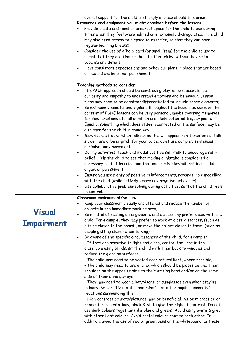|                                    | overall support for the child is strongly in place should this arise.<br>Resources and equipment you might consider before the lesson:<br>Provide a safe and familiar breakout space for the child to use during<br>times when they feel overwhelmed or emotionally dysregulated. The child<br>may also need access to a space to exercise, so that they can have<br>regular learning breaks;<br>Consider the use of a 'help' card (or small item) for the child to use to<br>$\bullet$<br>signal that they are finding the situation tricky, without having to<br>vocalise any details;<br>Have consistent expectations and behaviour plans in place that are based<br>$\bullet$<br>on reward systems, not punishment.                                                                                                                                                                                                                                                                                                                                                                                                                                                                                                                                                                                         |
|------------------------------------|-----------------------------------------------------------------------------------------------------------------------------------------------------------------------------------------------------------------------------------------------------------------------------------------------------------------------------------------------------------------------------------------------------------------------------------------------------------------------------------------------------------------------------------------------------------------------------------------------------------------------------------------------------------------------------------------------------------------------------------------------------------------------------------------------------------------------------------------------------------------------------------------------------------------------------------------------------------------------------------------------------------------------------------------------------------------------------------------------------------------------------------------------------------------------------------------------------------------------------------------------------------------------------------------------------------------|
|                                    | Teaching methods to consider:                                                                                                                                                                                                                                                                                                                                                                                                                                                                                                                                                                                                                                                                                                                                                                                                                                                                                                                                                                                                                                                                                                                                                                                                                                                                                   |
|                                    | The PACE approach should be used, using playfulness, acceptance,<br>curiosity and empathy to understand emotions and behaviour. Lesson<br>plans may need to be adapted/differentiated to include these elements;<br>Be extremely mindful and vigilant throughout the lesson, as some of the<br>$\bullet$<br>content of PSHE lessons can be very personal, maybe covering memories,<br>families, emotions etc, all of which are likely potential trigger points.<br>Equally, something which doesn't seem connected on the surface, may be<br>a trigger for the child in some way;<br>Slow yourself down when talking, as this will appear non-threatening: talk<br>$\bullet$<br>slower, use a lower pitch for your voice, don't use complex sentences,<br>minimise body movements;<br>During activities, teach and model positive self-talk to encourage self-<br>$\bullet$<br>belief. Help the child to see that making a mistake is considered a<br>necessary part of learning and that minor mistakes will not incur adult<br>anger, or punishment;<br>Ensure you use plenty of positive reinforcements, rewards, role modelling<br>$\bullet$<br>with the child (while actively ignore any negative behaviour);<br>Use collaborative problem-solving during activities, so that the child feels<br>$\bullet$ |
|                                    | in control.                                                                                                                                                                                                                                                                                                                                                                                                                                                                                                                                                                                                                                                                                                                                                                                                                                                                                                                                                                                                                                                                                                                                                                                                                                                                                                     |
|                                    | Classroom environment/set up:                                                                                                                                                                                                                                                                                                                                                                                                                                                                                                                                                                                                                                                                                                                                                                                                                                                                                                                                                                                                                                                                                                                                                                                                                                                                                   |
| <b>Visual</b><br><b>Impairment</b> | Keep your classroom visually uncluttered and reduce the number of<br>objects in the immediate working area;<br>Be mindful of seating arrangements and discuss any preferences with the<br>$\bullet$<br>child. For example, they may prefer to work at close distances, (such as<br>sitting closer to the board), or move the object closer to them, (such as                                                                                                                                                                                                                                                                                                                                                                                                                                                                                                                                                                                                                                                                                                                                                                                                                                                                                                                                                    |
|                                    | people getting closer when talking);<br>Be aware of the specific circumstances of the child, for example:<br>$\bullet$<br>- If they are sensitive to light and glare, control the light in the<br>classroom using blinds, sit the child with their back to windows and<br>reduce the glare on surfaces;<br>- The child may need to be seated near natural light, where possible;<br>- The child may need to use a lamp, which should be places behind their<br>shoulder on the opposite side to their writing hand and/or on the same<br>side of their stronger eye;<br>- They may need to wear a hat/visors, or sunglasses even when staying<br>indoors. Be sensitive to this and mindful of other pupils comments/<br>reactions surrounding this;<br>- High contrast objects/pictures may be beneficial. As best practice on<br>handouts/presentations, black & white give the highest contrast. Do not<br>use dark colours together (like blue and green). Avoid using white & grey<br>with other light colours. Avoid pastel colours next to each other. In<br>addition, avoid the use of red or green pens on the whiteboard, as these                                                                                                                                                                     |